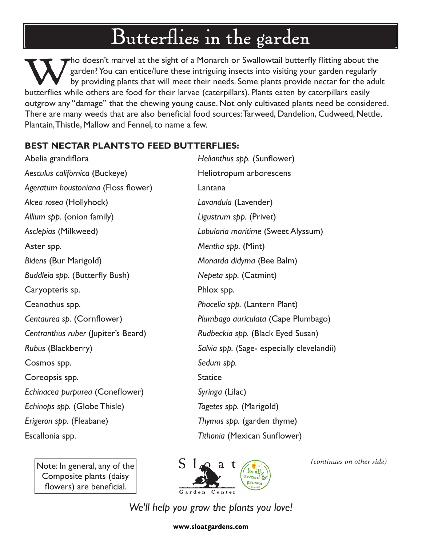## Butterflies in the garden

Tho doesn't marvel at the sight of a Monarch or Swallowtail butterfly flitting about the garden? You can entice/lure these intriguing insects into visiting your garden regularly by providing plants that will meet their nee garden? You can entice/lure these intriguing insects into visiting your garden regularly by providing plants that will meet their needs. Some plants provide nectar for the adult butterflies while others are food for their larvae (caterpillars). Plants eaten by caterpillars easily outgrow any "damage" that the chewing young cause. Not only cultivated plants need be considered. There are many weeds that are also beneficial food sources: Tarweed, Dandelion, Cudweed, Nettle, Plantain, Thistle, Mallow and Fennel, to name a few.

## **BEST NECTAR PLANTS TO FEED BUTTERFLIES:**

Abelia grandiflora *Helianthus spp.* (Sunflower) Aesculus californica (Buckeye) **Heliotropum arborescens** *Ageratum houstoniana* (Floss flower) Lantana *Alcea rosea* (Hollyhock) *Lavandula* (Lavender) *Allium spp.* (onion family) *Ligustrum spp.* (Privet) *Asclepias* (Milkweed) *Lobularia maritime* (Sweet Alyssum) Aster spp. *Mentha spp.* (Mint) *Bidens* (Bur Marigold) *Monarda didyma* (Bee Balm) *Buddleia spp.* (Butterfly Bush) *Nepeta spp.* (Catmint) Caryopteris sp. Phlox spp. Ceanothus spp. *Phacelia spp.* (Lantern Plant) *Centaurea sp.* (Cornflower) *Plumbago auriculata* (Cape Plumbago) *Centranthus ruber* (Jupiter's Beard) *Rudbeckia spp.* (Black Eyed Susan) *Rubus* (Blackberry) *Salvia spp.* (Sage- especially clevelandii) Cosmos spp. *Sedum spp.* Coreopsis spp. Statice *Echinacea purpurea* (Coneflower) *Syringa* (Lilac) *Echinops spp.* (Globe Thisle) *Tagetes spp.* (Marigold) *Erigeron spp.* (Fleabane) *Thymus spp.* (garden thyme) Escallonia spp. *Tithonia* (Mexican Sunflower)

Note: In general, any of the Composite plants (daisy flowers) are beneficial.



*(continues on other side)*

*We'll help you grow the plants you love!*

**www.sloatgardens.com**